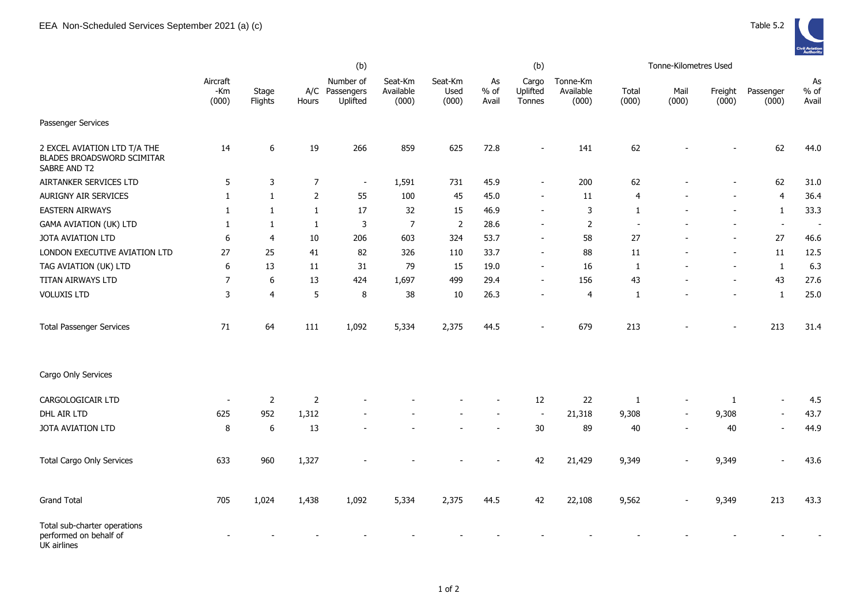

|                                                                            | (b)                      |                  |                |                                         |                               |                          |                       | (b)                         |                                |                | Tonne-Kilometres Used |                          |                          |                       |
|----------------------------------------------------------------------------|--------------------------|------------------|----------------|-----------------------------------------|-------------------------------|--------------------------|-----------------------|-----------------------------|--------------------------------|----------------|-----------------------|--------------------------|--------------------------|-----------------------|
|                                                                            | Aircraft<br>-Km<br>(000) | Stage<br>Flights | Hours          | Number of<br>A/C Passengers<br>Uplifted | Seat-Km<br>Available<br>(000) | Seat-Km<br>Used<br>(000) | As<br>$%$ of<br>Avail | Cargo<br>Uplifted<br>Tonnes | Tonne-Km<br>Available<br>(000) | Total<br>(000) | Mail<br>(000)         | Freight<br>(000)         | Passenger<br>(000)       | As<br>$%$ of<br>Avail |
| Passenger Services                                                         |                          |                  |                |                                         |                               |                          |                       |                             |                                |                |                       |                          |                          |                       |
| 2 EXCEL AVIATION LTD T/A THE<br>BLADES BROADSWORD SCIMITAR<br>SABRE AND T2 | 14                       | 6                | 19             | 266                                     | 859                           | 625                      | 72.8                  | $\overline{\phantom{0}}$    | 141                            | 62             |                       |                          | 62                       | 44.0                  |
| AIRTANKER SERVICES LTD                                                     | 5                        | 3                | $\overline{7}$ | $\sim$                                  | 1,591                         | 731                      | 45.9                  | $\sim$                      | 200                            | 62             |                       |                          | 62                       | 31.0                  |
| AURIGNY AIR SERVICES                                                       | $\mathbf{1}$             | $\mathbf{1}$     | $\overline{2}$ | 55                                      | 100                           | 45                       | 45.0                  |                             | 11                             | $\overline{4}$ |                       |                          | $\overline{4}$           | 36.4                  |
| <b>EASTERN AIRWAYS</b>                                                     | $\mathbf{1}$             | 1                | $\mathbf{1}$   | 17                                      | 32                            | 15                       | 46.9                  |                             | 3                              | 1              |                       |                          | 1                        | 33.3                  |
| <b>GAMA AVIATION (UK) LTD</b>                                              | 1                        | 1                | $\mathbf{1}$   | 3                                       | 7                             | $\overline{2}$           | 28.6                  |                             | $\overline{2}$                 |                |                       |                          | $\overline{\phantom{a}}$ |                       |
| JOTA AVIATION LTD                                                          | 6                        | 4                | $10\,$         | 206                                     | 603                           | 324                      | 53.7                  | $\blacksquare$              | 58                             | 27             |                       |                          | 27                       | 46.6                  |
| LONDON EXECUTIVE AVIATION LTD                                              | 27                       | 25               | 41             | 82                                      | 326                           | 110                      | 33.7                  | $\sim$                      | 88                             | 11             |                       | $\overline{\phantom{a}}$ | $11\,$                   | 12.5                  |
| TAG AVIATION (UK) LTD                                                      | 6                        | 13               | 11             | 31                                      | 79                            | 15                       | 19.0                  | $\blacksquare$              | 16                             | 1              |                       |                          | $\mathbf{1}$             | 6.3                   |
| TITAN AIRWAYS LTD                                                          | 7                        | 6                | 13             | 424                                     | 1,697                         | 499                      | 29.4                  | $\overline{\phantom{a}}$    | 156                            | 43             |                       |                          | 43                       | 27.6                  |
| <b>VOLUXIS LTD</b>                                                         | 3                        | 4                | $\sqrt{5}$     | 8                                       | 38                            | 10                       | 26.3                  |                             | 4                              | 1              |                       |                          | $\mathbf{1}$             | 25.0                  |
| <b>Total Passenger Services</b>                                            | 71                       | 64               | 111            | 1,092                                   | 5,334                         | 2,375                    | 44.5                  |                             | 679                            | 213            |                       |                          | 213                      | 31.4                  |
| Cargo Only Services                                                        |                          |                  |                |                                         |                               |                          |                       |                             |                                |                |                       |                          |                          |                       |
| CARGOLOGICAIR LTD                                                          |                          | 2                | $\overline{2}$ |                                         |                               |                          |                       | 12                          | 22                             | 1              |                       | 1                        |                          | 4.5                   |
| DHL AIR LTD                                                                | 625                      | 952              | 1,312          |                                         |                               |                          |                       |                             | 21,318                         | 9,308          |                       | 9,308                    |                          | 43.7                  |
| JOTA AVIATION LTD                                                          | 8                        | 6                | 13             |                                         |                               |                          |                       | 30                          | 89                             | 40             |                       | 40                       | $\blacksquare$           | 44.9                  |
| <b>Total Cargo Only Services</b>                                           | 633                      | 960              | 1,327          |                                         |                               |                          |                       | 42                          | 21,429                         | 9,349          |                       | 9,349                    | $\sim$                   | 43.6                  |
| <b>Grand Total</b>                                                         | 705                      | 1,024            | 1,438          | 1,092                                   | 5,334                         | 2,375                    | 44.5                  | 42                          | 22,108                         | 9,562          |                       | 9,349                    | 213                      | 43.3                  |
| Total sub-charter operations<br>performed on behalf of<br>UK airlines      |                          |                  |                |                                         |                               |                          |                       |                             |                                |                |                       |                          |                          |                       |